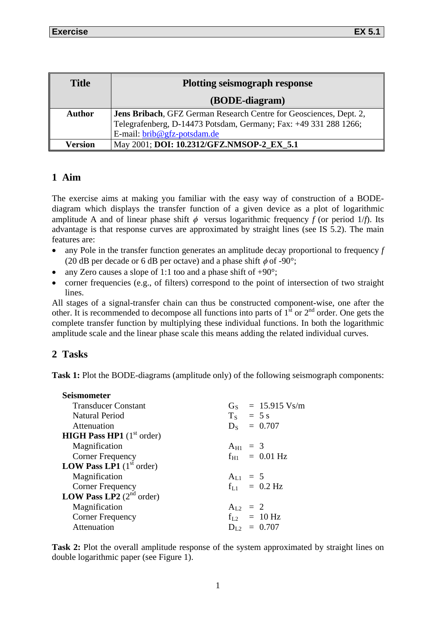| <b>Title</b>   | <b>Plotting seismograph response</b>                               |
|----------------|--------------------------------------------------------------------|
|                | (BODE-diagram)                                                     |
| <b>Author</b>  | Jens Bribach, GFZ German Research Centre for Geosciences, Dept. 2, |
|                | Telegrafenberg, D-14473 Potsdam, Germany; Fax: +49 331 288 1266;   |
|                | E-mail: brib@gfz-potsdam.de                                        |
| <b>Version</b> | May 2001; DOI: 10.2312/GFZ.NMSOP-2_EX_5.1                          |

## **1 Aim**

The exercise aims at making you familiar with the easy way of construction of a BODEdiagram which displays the transfer function of a given device as a plot of logarithmic amplitude A and of linear phase shift  $\phi$  versus logarithmic frequency *f* (or period 1/*f*). Its advantage is that response curves are approximated by straight lines (see IS 5.2). The main features are:

- any Pole in the transfer function generates an amplitude decay proportional to frequency *f* (20 dB per decade or 6 dB per octave) and a phase shift  $\phi$  of -90°;
- any Zero causes a slope of 1:1 too and a phase shift of  $+90^\circ$ ;
- corner frequencies (e.g., of filters) correspond to the point of intersection of two straight lines.

All stages of a signal-transfer chain can thus be constructed component-wise, one after the other. It is recommended to decompose all functions into parts of  $1^{\text{st}}$  or  $2^{\text{nd}}$  order. One gets the complete transfer function by multiplying these individual functions. In both the logarithmic amplitude scale and the linear phase scale this means adding the related individual curves.

## **2 Tasks**

**Task 1:** Plot the BODE-diagrams (amplitude only) of the following seismograph components:

| Seismometer                                          |                             |
|------------------------------------------------------|-----------------------------|
| <b>Transducer Constant</b>                           | $G_S = 15.915 \text{ Vs/m}$ |
| <b>Natural Period</b>                                | $T_S$ = 5 s                 |
| Attenuation                                          | $D_s = 0.707$               |
| <b>HIGH Pass HP1</b> $(1^{\text{st}} \text{ order})$ |                             |
| Magnification                                        | $A_{H1} = 3$                |
| <b>Corner Frequency</b>                              | $f_{H1}$ = 0.01 Hz          |
| <b>LOW Pass LP1</b> $(1^{\text{st}} \text{ order})$  |                             |
| Magnification                                        | $A_{L1} = 5$                |
| <b>Corner Frequency</b>                              | $f_{L1}$ = 0.2 Hz           |
| <b>LOW Pass LP2</b> $(2^{nd}$ order)                 |                             |
| Magnification                                        | $A_{L2} = 2$                |
| <b>Corner Frequency</b>                              | $f_{L2}$ = 10 Hz            |
| Attenuation                                          | $D_{L2} = 0.707$            |
|                                                      |                             |

**Task 2:** Plot the overall amplitude response of the system approximated by straight lines on double logarithmic paper (see Figure 1).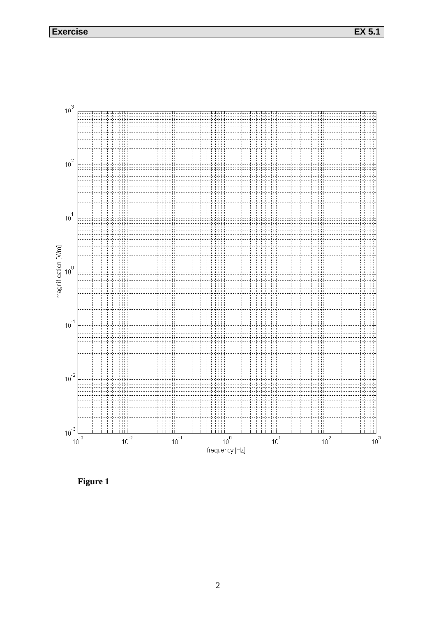**Exercise EX 5.1**



**Figure 1**